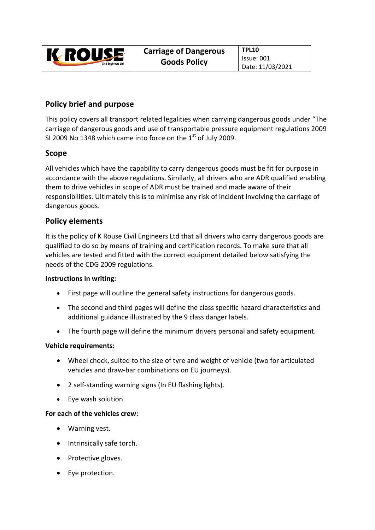

# **Policy brief and purpose**

This policy covers all transport related legalities when carrying dangerous goods under "The carriage of dangerous goods and use of transportable pressure equipment regulations 2009 SI 2009 No 1348 which came into force on the  $1<sup>st</sup>$  of July 2009.

## **Scope**

All vehicles which have the capability to carry dangerous goods must be fit for purpose in accordance with the above regulations. Similarly, all drivers who are ADR qualified enabling them to drive vehicles in scope of ADR must be trained and made aware of their responsibilities. Ultimately this is to minimise any risk of incident involving the carriage of dangerous goods.

## **Policy elements**

It is the policy of K Rouse Civil Engineers Ltd that all drivers who carry dangerous goods are qualified to do so by means of training and certification records. To make sure that all vehicles are tested and fitted with the correct equipment detailed below satisfying the needs of the CDG 2009 regulations.

### **Instructions in writing:**

- First page will outline the general safety instructions for dangerous goods.
- The second and third pages will define the class specific hazard characteristics and additional guidance illustrated by the 9 class danger labels.
- The fourth page will define the minimum drivers personal and safety equipment.

### **Vehicle requirements:**

- Wheel chock, suited to the size of tyre and weight of vehicle (two for articulated vehicles and draw‐bar combinations on EU journeys).
- 2 self-standing warning signs (In EU flashing lights).
- Eye wash solution.

### **For each of the vehicles crew:**

- Warning vest.
- Intrinsically safe torch.
- Protective gloves.
- Eye protection.